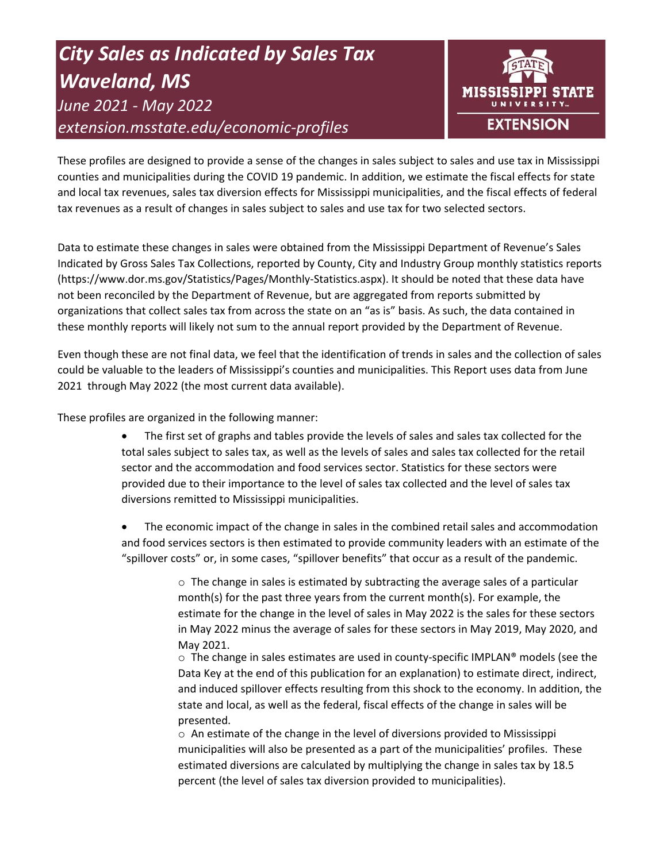# *City Sales as Indicated by Sales Tax Waveland, MS June 2021 - May 2022 extension.msstate.edu/economic-profiles*



These profiles are designed to provide a sense of the changes in sales subject to sales and use tax in Mississippi counties and municipalities during the COVID 19 pandemic. In addition, we estimate the fiscal effects for state and local tax revenues, sales tax diversion effects for Mississippi municipalities, and the fiscal effects of federal tax revenues as a result of changes in sales subject to sales and use tax for two selected sectors.

Data to estimate these changes in sales were obtained from the Mississippi Department of Revenue's Sales Indicated by Gross Sales Tax Collections, reported by County, City and Industry Group monthly statistics reports (https://www.dor.ms.gov/Statistics/Pages/Monthly-Statistics.aspx). It should be noted that these data have not been reconciled by the Department of Revenue, but are aggregated from reports submitted by organizations that collect sales tax from across the state on an "as is" basis. As such, the data contained in these monthly reports will likely not sum to the annual report provided by the Department of Revenue.

Even though these are not final data, we feel that the identification of trends in sales and the collection of sales could be valuable to the leaders of Mississippi's counties and municipalities. This Report uses data from June 2021 through May 2022 (the most current data available).

These profiles are organized in the following manner:

- The first set of graphs and tables provide the levels of sales and sales tax collected for the total sales subject to sales tax, as well as the levels of sales and sales tax collected for the retail sector and the accommodation and food services sector. Statistics for these sectors were provided due to their importance to the level of sales tax collected and the level of sales tax diversions remitted to Mississippi municipalities.
- The economic impact of the change in sales in the combined retail sales and accommodation and food services sectors is then estimated to provide community leaders with an estimate of the "spillover costs" or, in some cases, "spillover benefits" that occur as a result of the pandemic.

 $\circ$  The change in sales is estimated by subtracting the average sales of a particular month(s) for the past three years from the current month(s). For example, the estimate for the change in the level of sales in May 2022 is the sales for these sectors in May 2022 minus the average of sales for these sectors in May 2019, May 2020, and May 2021.

 $\circ$  The change in sales estimates are used in county-specific IMPLAN® models (see the Data Key at the end of this publication for an explanation) to estimate direct, indirect, and induced spillover effects resulting from this shock to the economy. In addition, the state and local, as well as the federal, fiscal effects of the change in sales will be presented.

 $\circ$  An estimate of the change in the level of diversions provided to Mississippi municipalities will also be presented as a part of the municipalities' profiles. These estimated diversions are calculated by multiplying the change in sales tax by 18.5 percent (the level of sales tax diversion provided to municipalities).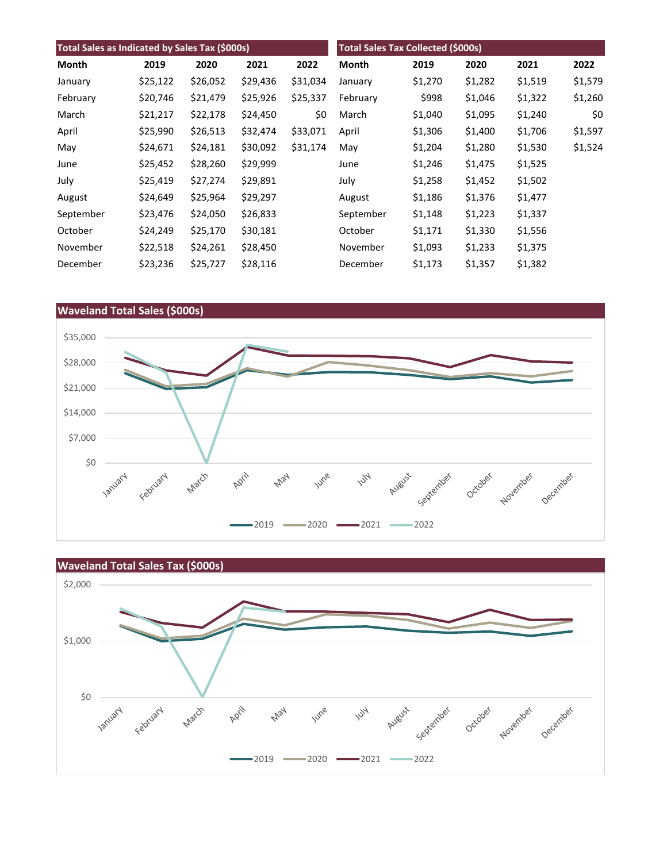| Total Sales as Indicated by Sales Tax (\$000s) |          |          |          | <b>Total Sales Tax Collected (\$000s)</b> |           |         |         |         |         |
|------------------------------------------------|----------|----------|----------|-------------------------------------------|-----------|---------|---------|---------|---------|
| Month                                          | 2019     | 2020     | 2021     | 2022                                      | Month     | 2019    | 2020    | 2021    | 2022    |
| January                                        | \$25,122 | \$26,052 | \$29,436 | \$31,034                                  | January   | \$1,270 | \$1,282 | \$1,519 | \$1,579 |
| February                                       | \$20,746 | \$21,479 | \$25,926 | \$25,337                                  | February  | \$998   | \$1,046 | \$1,322 | \$1,260 |
| March                                          | \$21,217 | \$22,178 | \$24,450 | \$0                                       | March     | \$1,040 | \$1,095 | \$1,240 | \$0     |
| April                                          | \$25,990 | \$26,513 | \$32,474 | \$33,071                                  | April     | \$1,306 | \$1,400 | \$1,706 | \$1,597 |
| May                                            | \$24,671 | \$24,181 | \$30,092 | \$31,174                                  | May       | \$1,204 | \$1,280 | \$1,530 | \$1,524 |
| June                                           | \$25,452 | \$28,260 | \$29,999 |                                           | June      | \$1,246 | \$1,475 | \$1,525 |         |
| July                                           | \$25,419 | \$27,274 | \$29,891 |                                           | July      | \$1,258 | \$1,452 | \$1,502 |         |
| August                                         | \$24,649 | \$25,964 | \$29,297 |                                           | August    | \$1,186 | \$1,376 | \$1,477 |         |
| September                                      | \$23,476 | \$24,050 | \$26,833 |                                           | September | \$1,148 | \$1,223 | \$1,337 |         |
| October                                        | \$24,249 | \$25,170 | \$30,181 |                                           | October   | \$1,171 | \$1,330 | \$1,556 |         |
| November                                       | \$22,518 | \$24,261 | \$28,450 |                                           | November  | \$1,093 | \$1,233 | \$1,375 |         |
| December                                       | \$23,236 | \$25,727 | \$28,116 |                                           | December  | \$1,173 | \$1,357 | \$1,382 |         |



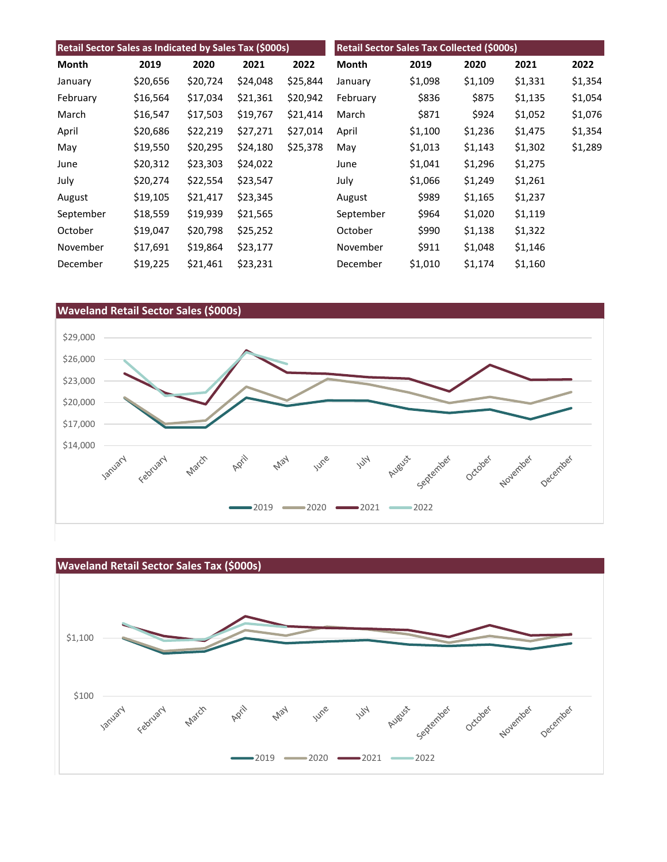| Retail Sector Sales as Indicated by Sales Tax (\$000s) |          |          | Retail Sector Sales Tax Collected (\$000s) |          |           |         |         |         |         |
|--------------------------------------------------------|----------|----------|--------------------------------------------|----------|-----------|---------|---------|---------|---------|
| Month                                                  | 2019     | 2020     | 2021                                       | 2022     | Month     | 2019    | 2020    | 2021    | 2022    |
| January                                                | \$20,656 | \$20,724 | \$24,048                                   | \$25,844 | January   | \$1,098 | \$1,109 | \$1,331 | \$1,354 |
| February                                               | \$16,564 | \$17,034 | \$21,361                                   | \$20,942 | February  | \$836   | \$875   | \$1,135 | \$1,054 |
| March                                                  | \$16,547 | \$17,503 | \$19,767                                   | \$21,414 | March     | \$871   | \$924   | \$1,052 | \$1,076 |
| April                                                  | \$20,686 | \$22,219 | \$27,271                                   | \$27,014 | April     | \$1,100 | \$1,236 | \$1,475 | \$1,354 |
| May                                                    | \$19,550 | \$20,295 | \$24,180                                   | \$25,378 | May       | \$1,013 | \$1,143 | \$1,302 | \$1,289 |
| June                                                   | \$20,312 | \$23,303 | \$24,022                                   |          | June      | \$1,041 | \$1,296 | \$1,275 |         |
| July                                                   | \$20,274 | \$22,554 | \$23,547                                   |          | July      | \$1,066 | \$1,249 | \$1,261 |         |
| August                                                 | \$19,105 | \$21,417 | \$23,345                                   |          | August    | \$989   | \$1,165 | \$1,237 |         |
| September                                              | \$18,559 | \$19,939 | \$21,565                                   |          | September | \$964   | \$1,020 | \$1,119 |         |
| October                                                | \$19,047 | \$20,798 | \$25,252                                   |          | October   | \$990   | \$1,138 | \$1,322 |         |
| November                                               | \$17,691 | \$19,864 | \$23,177                                   |          | November  | \$911   | \$1,048 | \$1,146 |         |
| December                                               | \$19,225 | \$21,461 | \$23,231                                   |          | December  | \$1,010 | \$1,174 | \$1,160 |         |



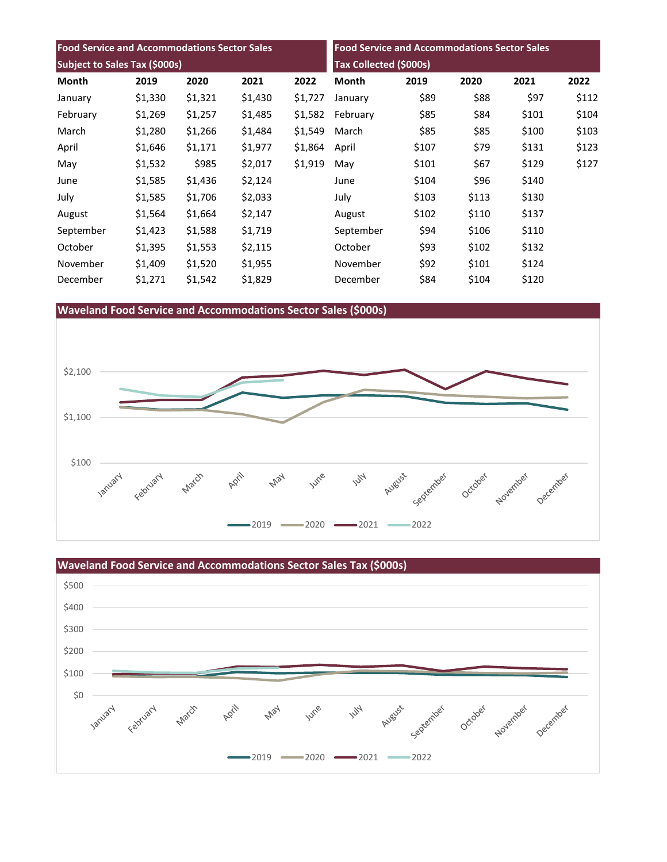| <b>Food Service and Accommodations Sector Sales</b> |         |         |                               | <b>Food Service and Accommodations Sector Sales</b> |           |       |       |       |       |
|-----------------------------------------------------|---------|---------|-------------------------------|-----------------------------------------------------|-----------|-------|-------|-------|-------|
| Subject to Sales Tax (\$000s)                       |         |         | <b>Tax Collected (\$000s)</b> |                                                     |           |       |       |       |       |
| Month                                               | 2019    | 2020    | 2021                          | 2022                                                | Month     | 2019  | 2020  | 2021  | 2022  |
| January                                             | \$1,330 | \$1,321 | \$1,430                       | \$1,727                                             | January   | \$89  | \$88  | \$97  | \$112 |
| February                                            | \$1,269 | \$1,257 | \$1,485                       | \$1,582                                             | February  | \$85  | \$84  | \$101 | \$104 |
| March                                               | \$1,280 | \$1,266 | \$1,484                       | \$1,549                                             | March     | \$85  | \$85  | \$100 | \$103 |
| April                                               | \$1,646 | \$1,171 | \$1,977                       | \$1,864                                             | April     | \$107 | \$79  | \$131 | \$123 |
| May                                                 | \$1,532 | \$985   | \$2,017                       | \$1,919                                             | May       | \$101 | \$67  | \$129 | \$127 |
| June                                                | \$1,585 | \$1,436 | \$2,124                       |                                                     | June      | \$104 | \$96  | \$140 |       |
| July                                                | \$1,585 | \$1,706 | \$2,033                       |                                                     | July      | \$103 | \$113 | \$130 |       |
| August                                              | \$1,564 | \$1,664 | \$2,147                       |                                                     | August    | \$102 | \$110 | \$137 |       |
| September                                           | \$1,423 | \$1,588 | \$1,719                       |                                                     | September | \$94  | \$106 | \$110 |       |
| October                                             | \$1,395 | \$1,553 | \$2,115                       |                                                     | October   | \$93  | \$102 | \$132 |       |
| November                                            | \$1,409 | \$1,520 | \$1,955                       |                                                     | November  | \$92  | \$101 | \$124 |       |
| December                                            | \$1,271 | \$1,542 | \$1,829                       |                                                     | December  | \$84  | \$104 | \$120 |       |





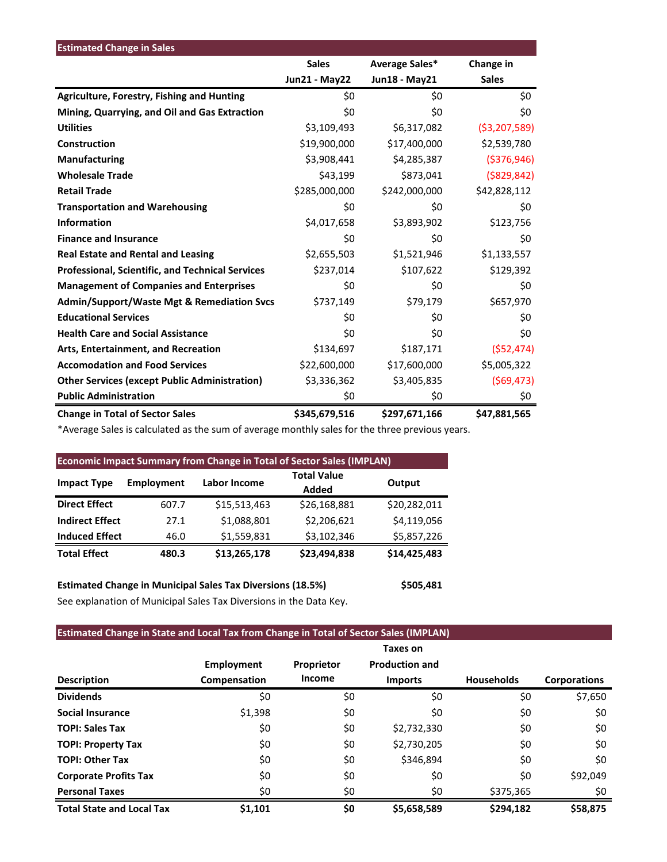| <b>Estimated Change in Sales</b>                      |               |                |                |
|-------------------------------------------------------|---------------|----------------|----------------|
|                                                       | <b>Sales</b>  | Average Sales* | Change in      |
|                                                       | Jun21 - May22 | Jun18 - May21  | <b>Sales</b>   |
| <b>Agriculture, Forestry, Fishing and Hunting</b>     | \$0           | \$0            | \$0            |
| Mining, Quarrying, and Oil and Gas Extraction         | \$0           | \$0            | \$0            |
| <b>Utilities</b>                                      | \$3,109,493   | \$6,317,082    | ( \$3,207,589) |
| Construction                                          | \$19,900,000  | \$17,400,000   | \$2,539,780    |
| <b>Manufacturing</b>                                  | \$3,908,441   | \$4,285,387    | ( \$376, 946)  |
| <b>Wholesale Trade</b>                                | \$43,199      | \$873,041      | ( \$829, 842)  |
| <b>Retail Trade</b>                                   | \$285,000,000 | \$242,000,000  | \$42,828,112   |
| <b>Transportation and Warehousing</b>                 | \$0           | \$0            | \$0            |
| <b>Information</b>                                    | \$4,017,658   | \$3,893,902    | \$123,756      |
| <b>Finance and Insurance</b>                          | \$0           | \$0            | \$0            |
| <b>Real Estate and Rental and Leasing</b>             | \$2,655,503   | \$1,521,946    | \$1,133,557    |
| Professional, Scientific, and Technical Services      | \$237,014     | \$107,622      | \$129,392      |
| <b>Management of Companies and Enterprises</b>        | \$0           | \$0            | \$0            |
| <b>Admin/Support/Waste Mgt &amp; Remediation Svcs</b> | \$737,149     | \$79,179       | \$657,970      |
| <b>Educational Services</b>                           | \$0           | \$0            | \$0            |
| <b>Health Care and Social Assistance</b>              | \$0           | \$0            | \$0            |
| Arts, Entertainment, and Recreation                   | \$134,697     | \$187,171      | (552, 474)     |
| <b>Accomodation and Food Services</b>                 | \$22,600,000  | \$17,600,000   | \$5,005,322    |
| <b>Other Services (except Public Administration)</b>  | \$3,336,362   | \$3,405,835    | (569, 473)     |
| <b>Public Administration</b>                          | \$0           | \$0            | \$0            |
| <b>Change in Total of Sector Sales</b>                | \$345,679,516 | \$297,671,166  | \$47,881,565   |

\*Average Sales is calculated as the sum of average monthly sales for the three previous years.

| <b>Economic Impact Summary from Change in Total of Sector Sales (IMPLAN)</b> |                   |              |                    |              |  |  |  |
|------------------------------------------------------------------------------|-------------------|--------------|--------------------|--------------|--|--|--|
|                                                                              | <b>Employment</b> | Labor Income | <b>Total Value</b> |              |  |  |  |
| <b>Impact Type</b>                                                           |                   |              | Added              | Output       |  |  |  |
| <b>Direct Effect</b>                                                         | 607.7             | \$15,513,463 | \$26,168,881       | \$20,282,011 |  |  |  |
| <b>Indirect Effect</b>                                                       | 27.1              | \$1,088,801  | \$2,206,621        | \$4,119,056  |  |  |  |
| <b>Induced Effect</b>                                                        | 46.0              | \$1,559,831  | \$3,102,346        | \$5,857,226  |  |  |  |
| <b>Total Effect</b>                                                          | 480.3             | \$13,265,178 | \$23,494,838       | \$14,425,483 |  |  |  |

**Estimated Change in Municipal Sales Tax Diversions (18.5%) \$505,481** See explanation of Municipal Sales Tax Diversions in the Data Key.

## **Estimated Change in State and Local Tax from Change in Total of Sector Sales (IMPLAN)**

|                                  |                   |            | Taxes on              |                   |                     |
|----------------------------------|-------------------|------------|-----------------------|-------------------|---------------------|
|                                  | <b>Employment</b> | Proprietor | <b>Production and</b> |                   |                     |
| <b>Description</b>               | Compensation      | Income     | <b>Imports</b>        | <b>Households</b> | <b>Corporations</b> |
| <b>Dividends</b>                 | \$0               | \$0        | \$0                   | \$0               | \$7,650             |
| <b>Social Insurance</b>          | \$1,398           | \$0        | \$0                   | \$0               | \$0                 |
| <b>TOPI: Sales Tax</b>           | \$0               | \$0        | \$2,732,330           | \$0               | \$0                 |
| <b>TOPI: Property Tax</b>        | \$0               | \$0        | \$2,730,205           | \$0               | \$0                 |
| <b>TOPI: Other Tax</b>           | \$0               | \$0        | \$346,894             | \$0               | \$0                 |
| <b>Corporate Profits Tax</b>     | \$0               | \$0        | \$0                   | \$0               | \$92,049            |
| <b>Personal Taxes</b>            | \$0               | \$0        | \$0                   | \$375,365         | \$0                 |
| <b>Total State and Local Tax</b> | \$1,101           | \$0        | \$5,658,589           | \$294,182         | \$58,875            |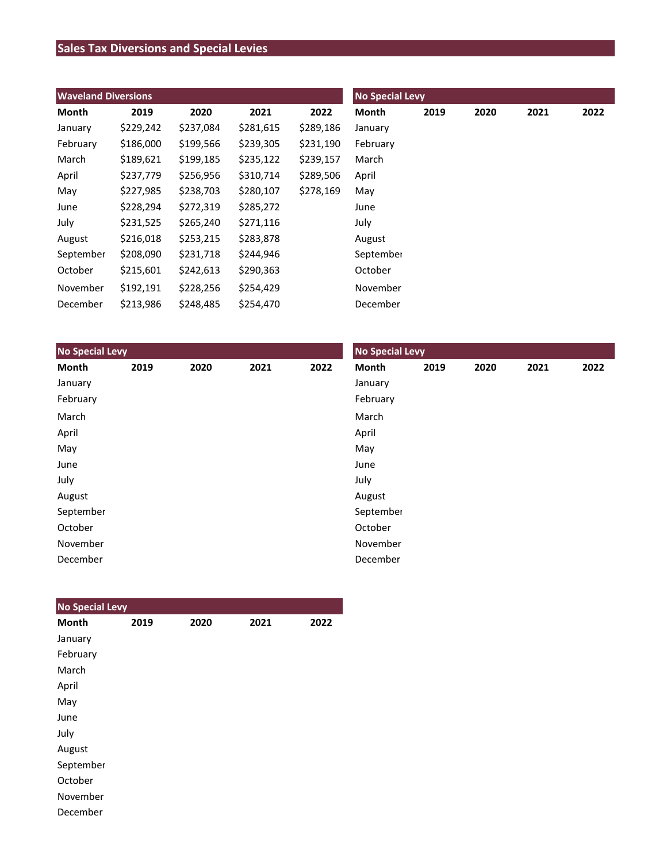## **Sales Tax Diversions and Special Levies**

| <b>Waveland Diversions</b> |           |           |           |           | <b>No Special Levy</b> |      |      |      |      |  |  |
|----------------------------|-----------|-----------|-----------|-----------|------------------------|------|------|------|------|--|--|
| Month                      | 2019      | 2020      | 2021      | 2022      | Month                  | 2019 | 2020 | 2021 | 2022 |  |  |
| January                    | \$229,242 | \$237,084 | \$281,615 | \$289,186 | January                |      |      |      |      |  |  |
| February                   | \$186,000 | \$199,566 | \$239,305 | \$231,190 | February               |      |      |      |      |  |  |
| March                      | \$189,621 | \$199,185 | \$235,122 | \$239,157 | March                  |      |      |      |      |  |  |
| April                      | \$237,779 | \$256,956 | \$310,714 | \$289,506 | April                  |      |      |      |      |  |  |
| May                        | \$227,985 | \$238,703 | \$280,107 | \$278,169 | May                    |      |      |      |      |  |  |
| June                       | \$228,294 | \$272,319 | \$285,272 |           | June                   |      |      |      |      |  |  |
| July                       | \$231,525 | \$265,240 | \$271,116 |           | July                   |      |      |      |      |  |  |
| August                     | \$216,018 | \$253,215 | \$283,878 |           | August                 |      |      |      |      |  |  |
| September                  | \$208,090 | \$231,718 | \$244,946 |           | September              |      |      |      |      |  |  |
| October                    | \$215,601 | \$242,613 | \$290,363 |           | October                |      |      |      |      |  |  |
| November                   | \$192,191 | \$228,256 | \$254,429 |           | November               |      |      |      |      |  |  |
| December                   | \$213,986 | \$248,485 | \$254,470 |           | December               |      |      |      |      |  |  |

| <b>No Special Levy</b> |      |      |      |      | <b>No Special Levy</b> |      |      |      |      |  |
|------------------------|------|------|------|------|------------------------|------|------|------|------|--|
| Month                  | 2019 | 2020 | 2021 | 2022 | Month                  | 2019 | 2020 | 2021 | 2022 |  |
| January                |      |      |      |      | January                |      |      |      |      |  |
| February               |      |      |      |      | February               |      |      |      |      |  |
| March                  |      |      |      |      | March                  |      |      |      |      |  |
| April                  |      |      |      |      | April                  |      |      |      |      |  |
| May                    |      |      |      |      | May                    |      |      |      |      |  |
| June                   |      |      |      |      | June                   |      |      |      |      |  |
| July                   |      |      |      |      | July                   |      |      |      |      |  |
| August                 |      |      |      |      | August                 |      |      |      |      |  |
| September              |      |      |      |      | September              |      |      |      |      |  |
| October                |      |      |      |      | October                |      |      |      |      |  |
| November               |      |      |      |      | November               |      |      |      |      |  |
| December               |      |      |      |      | December               |      |      |      |      |  |

| <b>No Special Levy</b> |      |      |      |      |
|------------------------|------|------|------|------|
| <b>Month</b>           | 2019 | 2020 | 2021 | 2022 |
| January                |      |      |      |      |
| February               |      |      |      |      |
| March                  |      |      |      |      |
| April                  |      |      |      |      |
| May                    |      |      |      |      |
| June                   |      |      |      |      |
| July                   |      |      |      |      |
| August                 |      |      |      |      |
| September              |      |      |      |      |
| October                |      |      |      |      |
| November               |      |      |      |      |
| December               |      |      |      |      |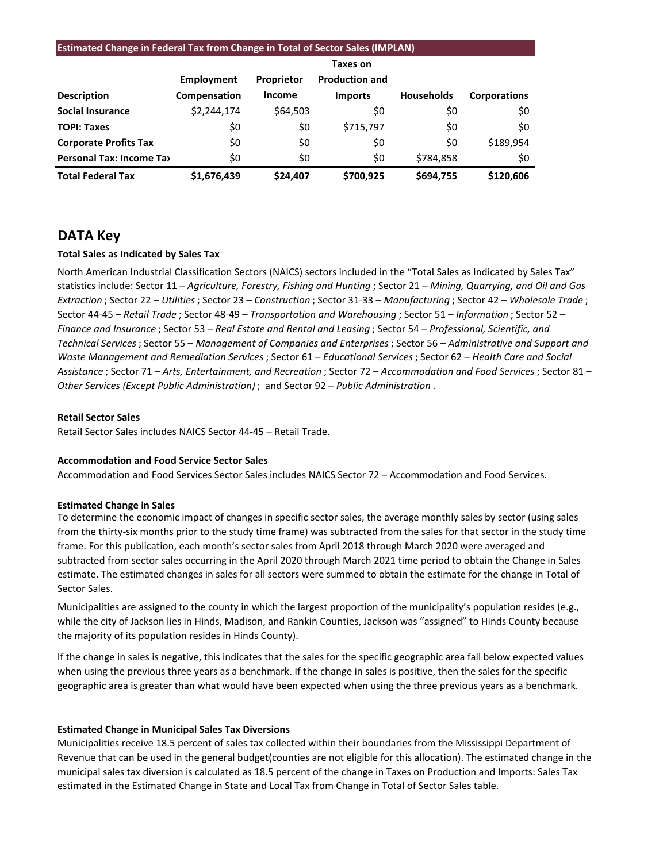|                                 | <b>Estimated Change in Federal Tax from Change in Total of Sector Sales (IMPLAN)</b> |               |                       |                   |                     |  |  |  |
|---------------------------------|--------------------------------------------------------------------------------------|---------------|-----------------------|-------------------|---------------------|--|--|--|
|                                 |                                                                                      |               | Taxes on              |                   |                     |  |  |  |
|                                 | Employment                                                                           | Proprietor    | <b>Production and</b> |                   |                     |  |  |  |
| <b>Description</b>              | Compensation                                                                         | <b>Income</b> | <b>Imports</b>        | <b>Households</b> | <b>Corporations</b> |  |  |  |
| <b>Social Insurance</b>         | \$2,244,174                                                                          | \$64,503      | \$0                   | \$0               | \$0                 |  |  |  |
| <b>TOPI: Taxes</b>              | \$0                                                                                  | \$0           | \$715,797             | \$0               | \$0                 |  |  |  |
| <b>Corporate Profits Tax</b>    | \$0                                                                                  | \$0           | \$0                   | \$0               | \$189,954           |  |  |  |
| <b>Personal Tax: Income Tax</b> | \$0                                                                                  | \$0           | \$0                   | \$784,858         | \$0                 |  |  |  |
| <b>Total Federal Tax</b>        | \$1,676,439                                                                          | \$24,407      | \$700,925             | \$694,755         | \$120,606           |  |  |  |

## **DATA Key**

### **Total Sales as Indicated by Sales Tax**

North American Industrial Classification Sectors (NAICS) sectors included in the "Total Sales as Indicated by Sales Tax" statistics include: Sector 11 – *Agriculture, Forestry, Fishing and Hunting* ; Sector 21 – *Mining, Quarrying, and Oil and Gas Extraction* ; Sector 22 – *Utilities*; Sector 23 – *Construction* ; Sector 31-33 – *Manufacturing* ; Sector 42 – *Wholesale Trade* ; Sector 44-45 – *Retail Trade* ; Sector 48-49 – *Transportation and Warehousing* ; Sector 51 – *Information* ; Sector 52 – *Finance and Insurance* ; Sector 53 – *Real Estate and Rental and Leasing* ; Sector 54 – *Professional, Scientific, and Technical Services*; Sector 55 – *Management of Companies and Enterprises* ; Sector 56 – *Administrative and Support and Waste Management and Remediation Services* ; Sector 61 – *Educational Services*; Sector 62 – *Health Care and Social Assistance* ; Sector 71 – *Arts, Entertainment, and Recreation* ; Sector 72 – *Accommodation and Food Services* ; Sector 81 – *Other Services (Except Public Administration)* ; and Sector 92 – *Public Administration* .

#### **Retail Sector Sales**

Retail Sector Sales includes NAICS Sector 44-45 – Retail Trade.

#### **Accommodation and Food Service Sector Sales**

Accommodation and Food Services Sector Sales includes NAICS Sector 72 – Accommodation and Food Services.

#### **Estimated Change in Sales**

To determine the economic impact of changes in specific sector sales, the average monthly sales by sector (using sales from the thirty-six months prior to the study time frame) was subtracted from the sales for that sector in the study time frame. For this publication, each month's sector sales from April 2018 through March 2020 were averaged and subtracted from sector sales occurring in the April 2020 through March 2021 time period to obtain the Change in Sales estimate. The estimated changes in sales for all sectors were summed to obtain the estimate for the change in Total of Sector Sales.

Municipalities are assigned to the county in which the largest proportion of the municipality's population resides (e.g., while the city of Jackson lies in Hinds, Madison, and Rankin Counties, Jackson was "assigned" to Hinds County because the majority of its population resides in Hinds County).

If the change in sales is negative, this indicates that the sales for the specific geographic area fall below expected values when using the previous three years as a benchmark. If the change in sales is positive, then the sales for the specific geographic area is greater than what would have been expected when using the three previous years as a benchmark.

#### **Estimated Change in Municipal Sales Tax Diversions**

Municipalities receive 18.5 percent of sales tax collected within their boundaries from the Mississippi Department of Revenue that can be used in the general budget(counties are not eligible for this allocation). The estimated change in the municipal sales tax diversion is calculated as 18.5 percent of the change in Taxes on Production and Imports: Sales Tax estimated in the Estimated Change in State and Local Tax from Change in Total of Sector Sales table.